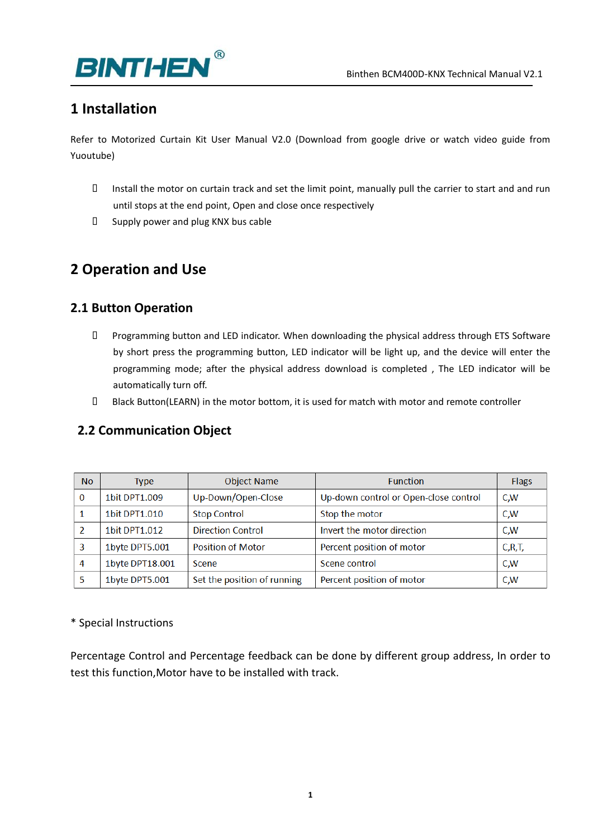

# **1 Installation**

Refer to Motorized Curtain Kit User Manual V2.0 (Download from google drive or watch video guide from Yuoutube)

- Install the motor on curtain track and set the limit point, manually pull the carrier to start and and run until stops at the end point, Open and close once respectively
- $\square$  Supply power and plug KNX bus cable

# **2 Operation and Use**

# **2.1 Button Operation**

- Programming button and LED indicator. When downloading the physical address through ETS Software by short press the programming button, LED indicator will be light up, and the device will enter the programming mode; after the physical address download is completed , The LED indicator will be automatically turn off.
- Black Button(LEARN) in the motor bottom, it is used for match with motor and remote controller

# **2.2 Communication Object**

| <b>No</b> | <b>Type</b>     | <b>Object Name</b>          | <b>Function</b>                       | <b>Flags</b> |
|-----------|-----------------|-----------------------------|---------------------------------------|--------------|
| $\Omega$  | 1bit DPT1.009   | Up-Down/Open-Close          | Up-down control or Open-close control | C,W          |
|           | 1bit DPT1.010   | <b>Stop Control</b>         | Stop the motor                        | C.W          |
|           | 1bit DPT1.012   | <b>Direction Control</b>    | Invert the motor direction            | C.W          |
| 3         | 1byte DPT5.001  | <b>Position of Motor</b>    | Percent position of motor             | C, R, T,     |
| 4         | 1byte DPT18.001 | Scene                       | Scene control                         | C,W          |
|           | 1byte DPT5.001  | Set the position of running | Percent position of motor             | C,W          |

#### \* Special Instructions

Percentage Control and Percentage feedback can be done by different group address, In order to test this function,Motor have to be installed with track.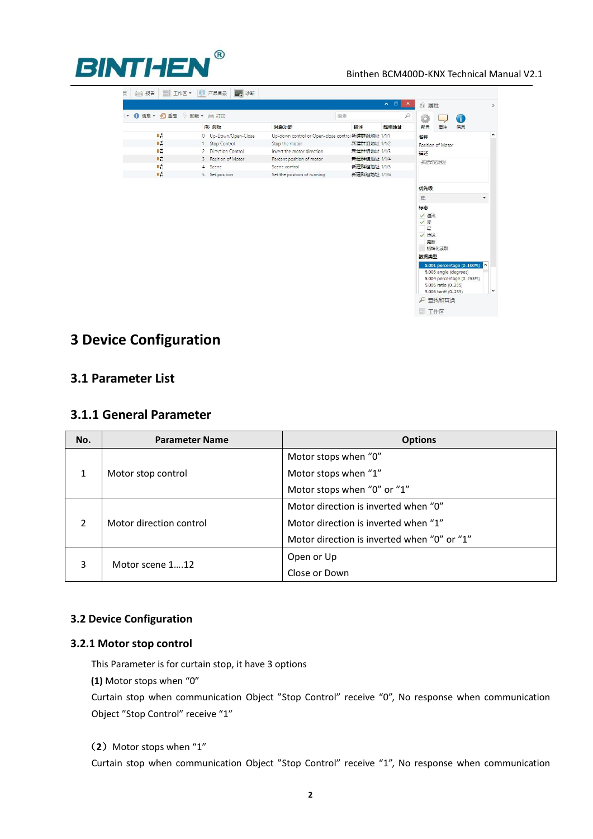

#### Binthen BCM400D-KNX Technical Manual V2.1

|    | 1 信息▼ 1 重置 – 第載▼ 1 打印 |                                                    | 搜索           | ₽    | ۶                     |                   | GD |
|----|-----------------------|----------------------------------------------------|--------------|------|-----------------------|-------------------|----|
|    | 序 名称                  | 对象功能                                               | 描述           | 群组地址 | 配置                    | 备注                | 信息 |
| 4기 | 0 Up-Down/Open-Close  | Up-down control or Open-close control 新建群组地址 1/1/1 |              |      | 名称                    |                   |    |
| 려  | Stop Control<br>1     | Stop the motor                                     | 新建群组地址 1/1/2 |      |                       | Position of Motor |    |
| 려  | 2 Direction Control   | Invert the motor direction                         | 新建群组地址 1/1/3 |      | 描述<br>新建群组地址          |                   |    |
| 料  | 3 Position of Motor   | Percent position of motor                          | 新建群组地址 1/1/4 |      |                       |                   |    |
| 려  | 4 Scene               | Scene control                                      | 新建群组地址 1/1/5 |      |                       |                   |    |
| 畦  | 5 Set position        | Set the position of running                        | 新建群组地址 1/1/6 |      |                       |                   |    |
|    |                       |                                                    |              |      | 低<br>标志<br>√ 通讯<br>√读 |                   |    |
|    |                       |                                                    |              |      | $\equiv$<br>√ 传送      |                   |    |
|    |                       |                                                    |              |      | 更新<br>数据类型            | 初始化读取             |    |

# **3 Device Configuration**

## **3.1 Parameter List**

## **3.1.1 General Parameter**

| No.           | <b>Parameter Name</b>   | <b>Options</b>                              |
|---------------|-------------------------|---------------------------------------------|
| 1             |                         | Motor stops when "0"                        |
|               | Motor stop control      | Motor stops when "1"                        |
|               |                         | Motor stops when "0" or "1"                 |
| $\mathcal{P}$ |                         | Motor direction is inverted when "0"        |
|               | Motor direction control | Motor direction is inverted when "1"        |
|               |                         | Motor direction is inverted when "0" or "1" |
| 3             |                         | Open or Up                                  |
|               | Motor scene 112         | Close or Down                               |

### **3.2 Device Configuration**

#### **3.2.1 Motor stop control**

This Parameter is for curtain stop, it have 3 options

**(1)** Motor stops when "0"

Curtain stop when communication Object "Stop Control" receive "0", No response when communication Object "Stop Control" receive "1"

#### (2) Motor stops when "1"

Curtain stop when communication Object "Stop Control" receive "1", No response when communication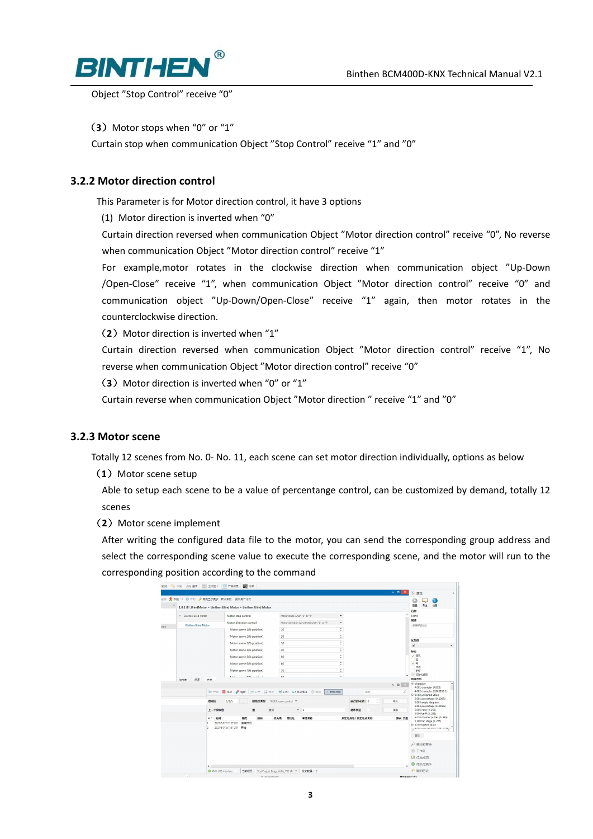

Object "Stop Control" receive "0"

(3) Motor stops when "0" or "1"

Curtain stop when communication Object "Stop Control" receive "1" and "0"

### **3.2.2 Motor direction control**

This Parameter is for Motor direction control, it have 3 options

(1) Motor direction is inverted when "0"

Curtain direction reversed when communication Object "Motor direction control" receive "0", No reverse when communication Object "Motor direction control" receive "1"

For example,motor rotates in the clockwise direction when communication object "Up-Down /Open-Close" receive "1", when communication Object "Motor direction control" receive "0" and communication object "Up-Down/Open-Close" receive "1" again, then motor rotates in the counterclockwise direction.

(2) Motor direction is inverted when "1"

Curtain direction reversed when communication Object "Motor direction control" receive "1", No reverse when communication Object "Motor direction control" receive "0"

(3) Motor direction is inverted when "0" or "1"

Curtain reverse when communication Object "Motor direction " receive "1" and "0"

#### **3.2.3 Motor scene**

Totally 12 scenes from No. 0- No. 11, each scene can set motor direction individually, options as below

(1) Motor scene setup

Able to setup each scene to be a value of percentange control, can be customized by demand, totally 12 scenes

(**2**)Motor scene implement

After writing the configured data file to the motor, you can send the corresponding group address and select the corresponding scene value to execute the corresponding scene, and the motor will run to the corresponding position according to the command

| 1.0.1 BT BlindMotor > Binthen Blind Motor > Binthen Blind Motor<br>Motor stop control<br>Motor direction control<br>Motor scene 1(% position)<br>Motor scene 2(% position)<br>Motor scene 3(% position)<br>Motor scene 4(% position)<br>Motor scene 5(% position)<br>Motor scene 6(% position)<br>Motor scene 7(% position)<br>Makanasana 869 meridian). |                                | 10<br>20<br>30<br>40<br>50<br>60           | Motor stops when "0" or "1"<br>Motor direction is inverted when "0" or "1" | ۰<br>۰<br>$\ddot{\phantom{a}}$<br>$\ddot{\phantom{a}}$<br>$\overline{a}$<br>÷<br>$\blacksquare$<br>$\mathbf{v}$<br>$\Delta$<br>٠ |           | $\overline{ }$          | 衛生<br>信息<br>記載<br>名称<br>Scene<br>猫咪<br><b>AVENUEDEN</b><br>优先级<br>任 |  |
|----------------------------------------------------------------------------------------------------------------------------------------------------------------------------------------------------------------------------------------------------------------------------------------------------------------------------------------------------------|--------------------------------|--------------------------------------------|----------------------------------------------------------------------------|----------------------------------------------------------------------------------------------------------------------------------|-----------|-------------------------|---------------------------------------------------------------------|--|
|                                                                                                                                                                                                                                                                                                                                                          |                                |                                            |                                                                            |                                                                                                                                  |           |                         |                                                                     |  |
|                                                                                                                                                                                                                                                                                                                                                          |                                |                                            |                                                                            |                                                                                                                                  |           |                         |                                                                     |  |
|                                                                                                                                                                                                                                                                                                                                                          |                                |                                            |                                                                            |                                                                                                                                  |           |                         |                                                                     |  |
|                                                                                                                                                                                                                                                                                                                                                          |                                |                                            |                                                                            |                                                                                                                                  |           |                         |                                                                     |  |
|                                                                                                                                                                                                                                                                                                                                                          |                                |                                            |                                                                            |                                                                                                                                  |           |                         |                                                                     |  |
|                                                                                                                                                                                                                                                                                                                                                          |                                |                                            |                                                                            |                                                                                                                                  |           |                         |                                                                     |  |
|                                                                                                                                                                                                                                                                                                                                                          |                                |                                            |                                                                            |                                                                                                                                  |           |                         | 1835                                                                |  |
|                                                                                                                                                                                                                                                                                                                                                          |                                |                                            |                                                                            |                                                                                                                                  |           |                         | √ 週讯<br>询                                                           |  |
|                                                                                                                                                                                                                                                                                                                                                          |                                |                                            |                                                                            | $\hat{\phantom{a}}$<br>۰                                                                                                         |           |                         | シ屑                                                                  |  |
|                                                                                                                                                                                                                                                                                                                                                          |                                | 70                                         |                                                                            | $\overline{a}$<br>۰                                                                                                              |           |                         | 传送<br>画解                                                            |  |
|                                                                                                                                                                                                                                                                                                                                                          |                                | $\sim$                                     |                                                                            | $\overline{a}$                                                                                                                   |           |                         | 初始化读取<br>数据类型                                                       |  |
|                                                                                                                                                                                                                                                                                                                                                          |                                |                                            |                                                                            |                                                                                                                                  |           | $\land$ $\Box$ $\times$ | 4." character                                                       |  |
|                                                                                                                                                                                                                                                                                                                                                          |                                |                                            | ▶ 开始 ■ 停止 / 潮除   [← 打开   国 研开   国 打印   中国数电报 @ 选项   < 群组功能                 |                                                                                                                                  |           | D                       | 4.001 character (ASCII)<br>4.002 character (ISO 8859-1)             |  |
|                                                                                                                                                                                                                                                                                                                                                          |                                |                                            |                                                                            |                                                                                                                                  | 提案        |                         | 5.* 8-bit unsigned value                                            |  |
| 1/1/5                                                                                                                                                                                                                                                                                                                                                    | 数据点类型                          | 18.001 scene control -                     |                                                                            |                                                                                                                                  | 延迟时间(秒) 0 | 写入                      | 5.001 percentage (0.100%)<br>5.003 angle (degrees)                  |  |
| 上一个接收值                                                                                                                                                                                                                                                                                                                                                   | 磷                              |                                            | $-1$                                                                       |                                                                                                                                  |           | 读取                      | 5.004 percentage (0.255%)<br>5.005 ratio (0.255)                    |  |
|                                                                                                                                                                                                                                                                                                                                                          |                                |                                            |                                                                            |                                                                                                                                  |           |                         | 5.006 tariff (0.255)<br>5.010 counter pulses (0.255)                |  |
|                                                                                                                                                                                                                                                                                                                                                          |                                |                                            |                                                                            |                                                                                                                                  |           |                         | 5.100 fan stage (0.255)                                             |  |
| * - 时间                                                                                                                                                                                                                                                                                                                                                   | 服务<br>2021/8/9 13:11:57.284 开始 | <b>Bitte</b><br>2021/8/9 13:11:57.281 连接时间 | 漱泪<br>优先级                                                                  | 源地址<br>来源名称                                                                                                                      |           | 循环发送<br>指定地点线 指定地点名称    | 路由 学型                                                               |  |